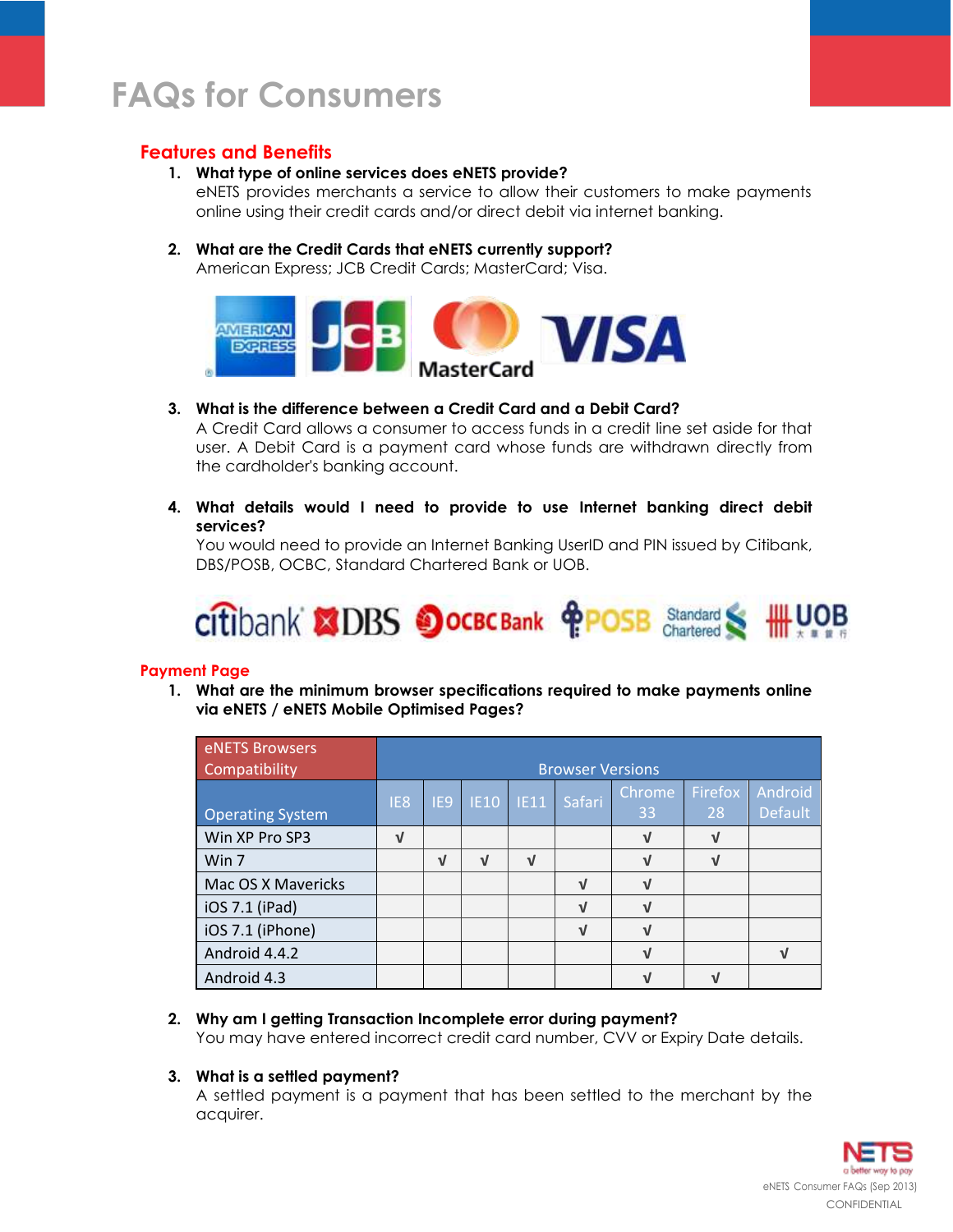# **Features and Benefits**

## **1. What type of online services does eNETS provide?**

eNETS provides merchants a service to allow their customers to make payments online using their credit cards and/or direct debit via internet banking.

# **2. What are the Credit Cards that eNETS currently support?**

American Express; JCB Credit Cards; MasterCard; Visa.



## **3. What is the difference between a Credit Card and a Debit Card?**

A Credit Card allows a consumer to access funds in a credit line set aside for that user. A Debit Card is a payment card whose funds are withdrawn directly from the cardholder's banking account.

**4. What details would I need to provide to use Internet banking direct debit services?**

You would need to provide an Internet Banking UserID and PIN issued by Citibank, DBS/POSB, OCBC, Standard Chartered Bank or UOB.



### **Payment Page**

**1. What are the minimum browser specifications required to make payments online via eNETS / eNETS Mobile Optimised Pages?**

| eNETS Browsers<br>Compatibility |                 | <b>Browser Versions</b> |             |            |            |              |               |                           |
|---------------------------------|-----------------|-------------------------|-------------|------------|------------|--------------|---------------|---------------------------|
| <b>Operating System</b>         | IE <sub>8</sub> | IE <sub>9</sub>         | IE10   IE11 |            | Safari     | Chrome<br>33 | Firefox<br>28 | Android<br><b>Default</b> |
| Win XP Pro SP3                  | $\sqrt{ }$      |                         |             |            |            | $\sqrt{ }$   | $\sqrt{ }$    |                           |
| Win 7                           |                 | $\sqrt{ }$              | V           | $\sqrt{ }$ |            | $\sqrt{ }$   | <b>V</b>      |                           |
| Mac OS X Mavericks              |                 |                         |             |            | V          | $\sqrt{ }$   |               |                           |
| iOS 7.1 (iPad)                  |                 |                         |             |            | $\sqrt{ }$ | $\sqrt{ }$   |               |                           |
| iOS 7.1 (iPhone)                |                 |                         |             |            | $\sqrt{ }$ | $\sqrt{ }$   |               |                           |
| Android 4.4.2                   |                 |                         |             |            |            | $\sqrt{ }$   |               | $\sqrt{ }$                |
| Android 4.3                     |                 |                         |             |            |            |              |               |                           |

# **2. Why am I getting Transaction Incomplete error during payment?**

You may have entered incorrect credit card number, CVV or Expiry Date details.

### **3. What is a settled payment?**

A settled payment is a payment that has been settled to the merchant by the acquirer.

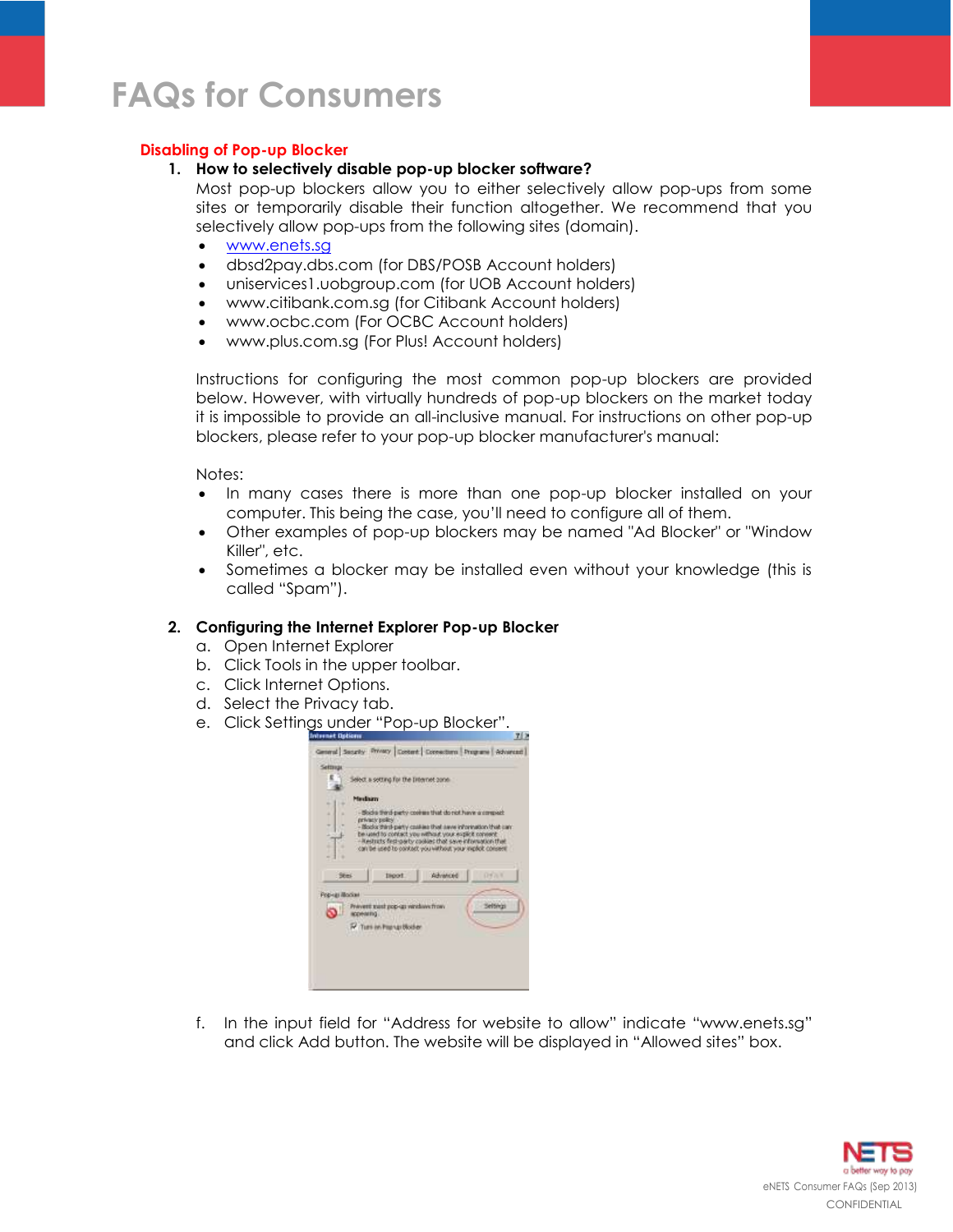### **Disabling of Pop-up Blocker**

#### **1. How to selectively disable pop-up blocker software?**

Most pop-up blockers allow you to either selectively allow pop-ups from some sites or temporarily disable their function altogether. We recommend that you selectively allow pop-ups from the following sites (domain).

- [www.enets.sg](http://www.enets.sg/)
- dbsd2pay.dbs.com (for DBS/POSB Account holders)
- uniservices1.uobgroup.com (for UOB Account holders)
- www.citibank.com.sg (for Citibank Account holders)
- www.ocbc.com (For OCBC Account holders)
- www.plus.com.sg (For Plus! Account holders)

Instructions for configuring the most common pop-up blockers are provided below. However, with virtually hundreds of pop-up blockers on the market today it is impossible to provide an all-inclusive manual. For instructions on other pop-up blockers, please refer to your pop-up blocker manufacturer's manual:

Notes:

- In many cases there is more than one pop-up blocker installed on your computer. This being the case, you'll need to configure all of them.
- Other examples of pop-up blockers may be named "Ad Blocker" or "Window Killer", etc.
- Sometimes a blocker may be installed even without your knowledge (this is called "Spam").

### **2. Configuring the Internet Explorer Pop-up Blocker**

- a. Open Internet Explorer
- b. Click Tools in the upper toolbar.
- c. Click Internet Options.
- d. Select the Privacy tab.
- e. Click Settings under "Pop-up Blocker".



f. In the input field for "Address for website to allow" indicate "www.enets.sg" and click Add button. The website will be displayed in "Allowed sites" box.

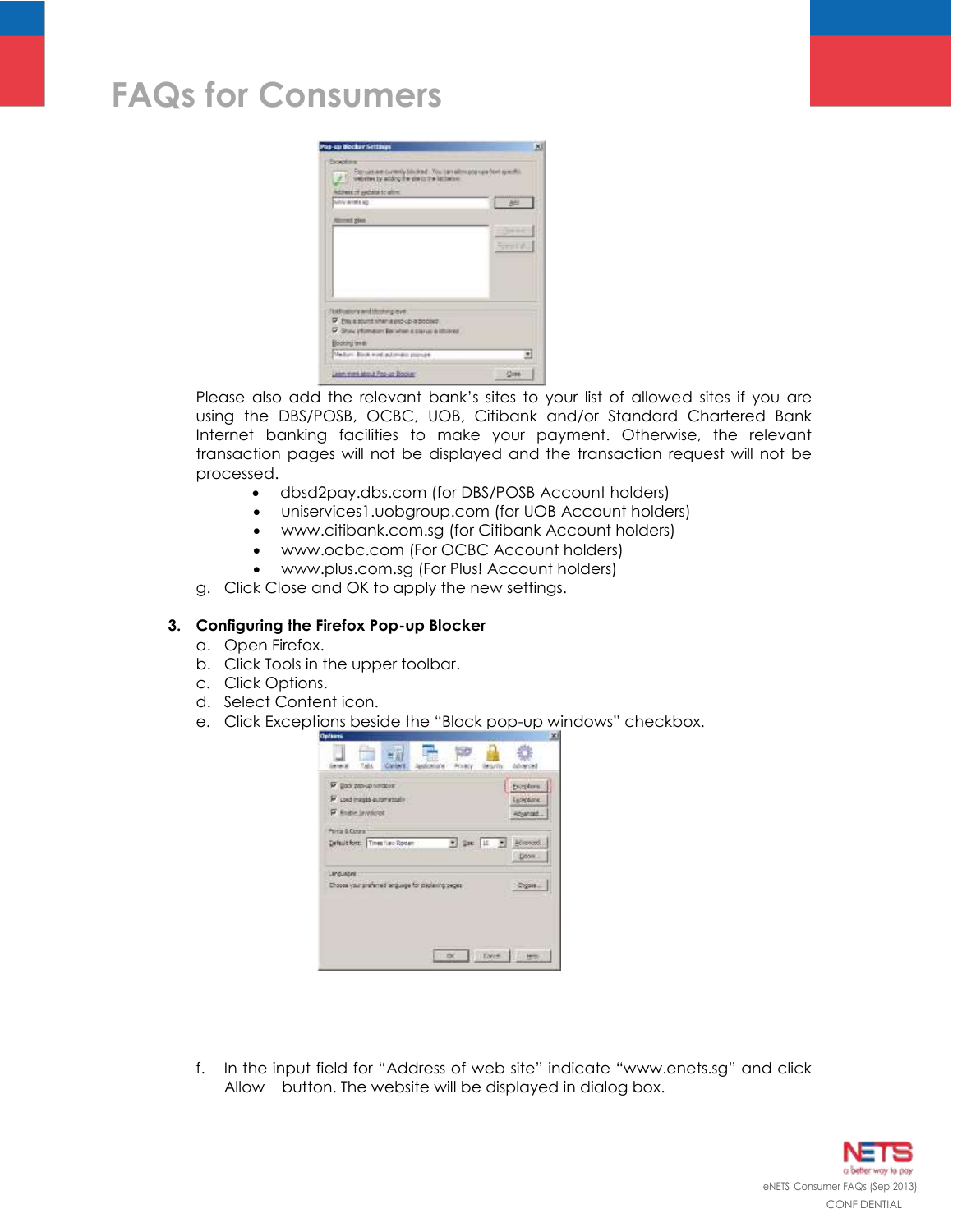|                                                                                                                                                                       | $\times$ |
|-----------------------------------------------------------------------------------------------------------------------------------------------------------------------|----------|
| Funkchisma<br>Formirs are currently block ad. You can eliminate run from specific<br>websited by aciding the she in the latitudes.<br>festivate of patients to allow. |          |
| NAN WHALE !                                                                                                                                                           | м        |
| <b>Minners</b> goes                                                                                                                                                   |          |
|                                                                                                                                                                       |          |
|                                                                                                                                                                       | 天下六千     |
|                                                                                                                                                                       |          |
|                                                                                                                                                                       |          |
|                                                                                                                                                                       |          |
|                                                                                                                                                                       |          |
| Notifications and blooking lever.                                                                                                                                     |          |
| P this is sound when a pro-up is biobled<br>C. Show Vitimizar: Bar when a starter a bloover.                                                                          |          |
| Bootru level                                                                                                                                                          |          |
| Madum Block wind automate provide                                                                                                                                     |          |

Please also add the relevant bank's sites to your list of allowed sites if you are using the DBS/POSB, OCBC, UOB, Citibank and/or Standard Chartered Bank Internet banking facilities to make your payment. Otherwise, the relevant transaction pages will not be displayed and the transaction request will not be processed.

- dbsd2pay.dbs.com (for DBS/POSB Account holders)
- uniservices1.uobgroup.com (for UOB Account holders)
- www.citibank.com.sg (for Citibank Account holders)
- www.ocbc.com (For OCBC Account holders)
- www.plus.com.sg (For Plus! Account holders)
- g. Click Close and OK to apply the new settings.

### **3. Configuring the Firefox Pop-up Blocker**

- a. Open Firefox.
- b. Click Tools in the upper toolbar.
- c. Click Options.
- d. Select Content icon.
- e. Click Exceptions beside the "Block pop-up windows" checkbox.

| Options                                                                  | $\infty$                             |
|--------------------------------------------------------------------------|--------------------------------------|
| <b>GUTTY</b>                                                             |                                      |
| P Doo pay onmour<br>V Lost mages automatisale<br><b>W</b> Rodre Involved | Evroptors<br>Especiation<br>ROJANSKI |
| Parta & Corpor<br>* Sec. 11 3 Monad<br>Default form: Times New Rorcers   | Door .                               |
| <b>LIPOLINDRE</b><br>Choose your preferred anguage for clastering peper- | Digose                               |
| ör.<br>Libros                                                            | tric                                 |

f. In the input field for "Address of web site" indicate "www.enets.sg" and click Allow button. The website will be displayed in dialog box.

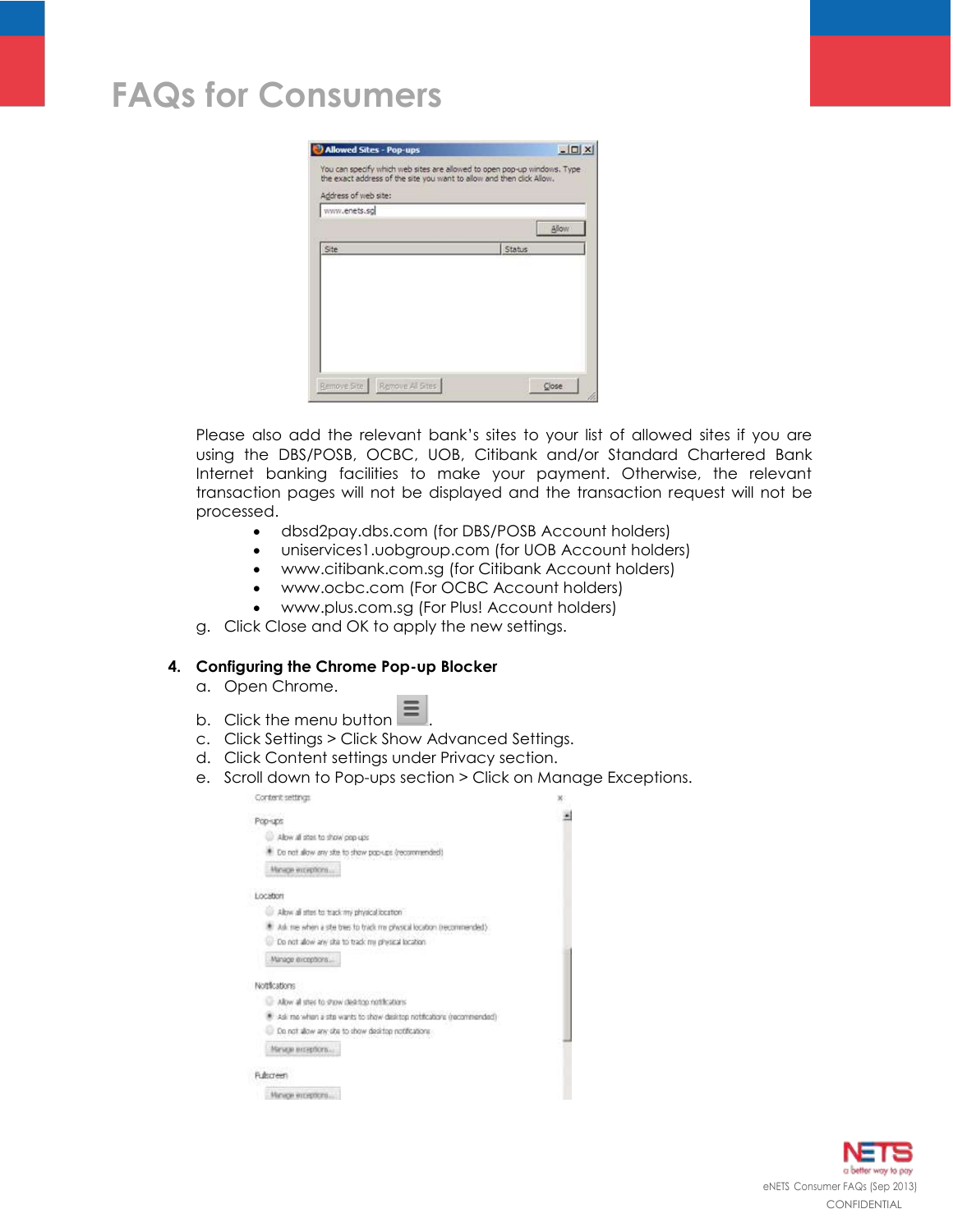| Allowed Sites - Pop-ups                                                                                                                                                   | $ \Box$ $\times$ |
|---------------------------------------------------------------------------------------------------------------------------------------------------------------------------|------------------|
| You can specify which web sites are allowed to open pop-up windows. Type<br>the exact address of the site you want to allow and then click Allow.<br>Address of web site: |                  |
| www.enets.sg                                                                                                                                                              |                  |
|                                                                                                                                                                           | Allow            |
| Site                                                                                                                                                                      | Status           |
|                                                                                                                                                                           |                  |
|                                                                                                                                                                           |                  |
|                                                                                                                                                                           |                  |
|                                                                                                                                                                           |                  |
|                                                                                                                                                                           |                  |
|                                                                                                                                                                           |                  |
|                                                                                                                                                                           |                  |
|                                                                                                                                                                           |                  |

Please also add the relevant bank's sites to your list of allowed sites if you are using the DBS/POSB, OCBC, UOB, Citibank and/or Standard Chartered Bank Internet banking facilities to make your payment. Otherwise, the relevant transaction pages will not be displayed and the transaction request will not be processed.

- dbsd2pay.dbs.com (for DBS/POSB Account holders)
- uniservices1.uobgroup.com (for UOB Account holders)
- www.citibank.com.sg (for Citibank Account holders)
- www.ocbc.com (For OCBC Account holders)
- www.plus.com.sg (For Plus! Account holders)
- g. Click Close and OK to apply the new settings.

### **4. Configuring the Chrome Pop-up Blocker**

- a. Open Chrome.
- b. Click the menu button  $\equiv$
- c. Click Settings > Click Show Advanced Settings.
- d. Click Content settings under Privacy section.
- e. Scroll down to Pop-ups section > Click on Manage Exceptions.

| Content settings                                                      |  |
|-----------------------------------------------------------------------|--|
| Pop-uns                                                               |  |
| Allow all sites to show pop-ups                                       |  |
| Do not allow any site to show pap-ups (recommend                      |  |
| Minige exception                                                      |  |
| Location                                                              |  |
| Allow all sites to track my physical location                         |  |
| Ask me when a site tres to track my chysical location inecommended    |  |
| Do not alow any ska to track my physical location                     |  |
| Manage exceptions                                                     |  |
| Nottlications                                                         |  |
| Allow all step to show desirion notifications.                        |  |
| Ask me when a site wants to show desistop notifications (recommended) |  |
| Do not allow any site to show desirtop notifications                  |  |
| Минди интерботк                                                       |  |
| Rubsteen                                                              |  |
| Магасан өздүрлэгтэ.                                                   |  |
|                                                                       |  |

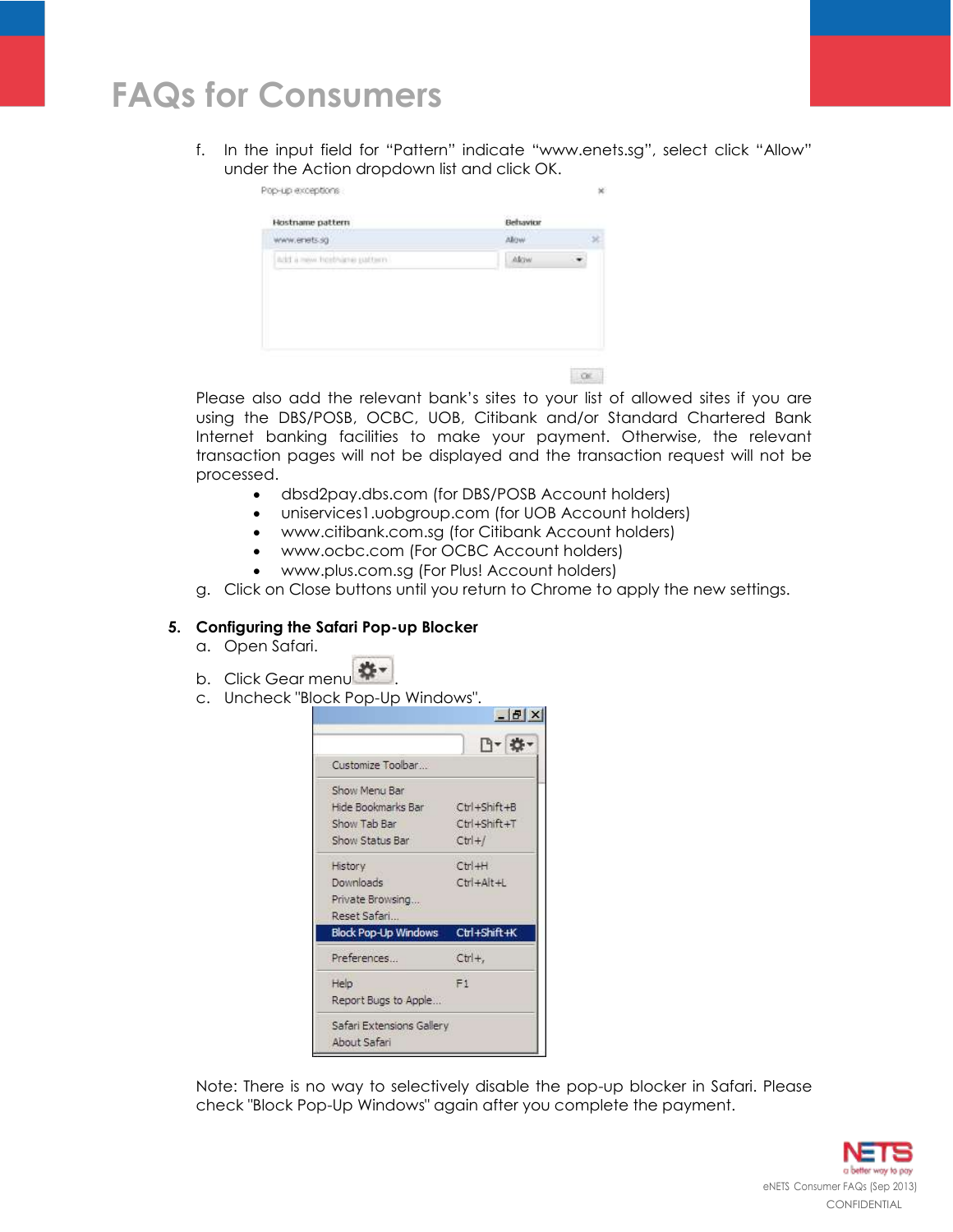f. In the input field for "Pattern" indicate "www.enets.sg", select click "Allow" under the Action dropdown list and click OK.

| Hostname pattern            | Behavior    |  |
|-----------------------------|-------------|--|
| www.enets.sg                | <b>ABOW</b> |  |
| add a new holdsare pattern. | Akiw        |  |
|                             |             |  |
|                             |             |  |
|                             |             |  |
|                             |             |  |

Please also add the relevant bank's sites to your list of allowed sites if you are using the DBS/POSB, OCBC, UOB, Citibank and/or Standard Chartered Bank Internet banking facilities to make your payment. Otherwise, the relevant transaction pages will not be displayed and the transaction request will not be processed.

 $\alpha$ 

- dbsd2pay.dbs.com (for DBS/POSB Account holders)
- uniservices1.uobgroup.com (for UOB Account holders)
- www.citibank.com.sg (for Citibank Account holders)
- www.ocbc.com (For OCBC Account holders)
- www.plus.com.sg (For Plus! Account holders)
- g. Click on Close buttons until you return to Chrome to apply the new settings.

#### **5. Configuring the Safari Pop-up Blocker**

- a. Open Safari.
- b. Click Gear menu ...
- c. Uncheck "Block Pop-Up Windows".



Note: There is no way to selectively disable the pop-up blocker in Safari. Please check "Block Pop-Up Windows" again after you complete the payment.

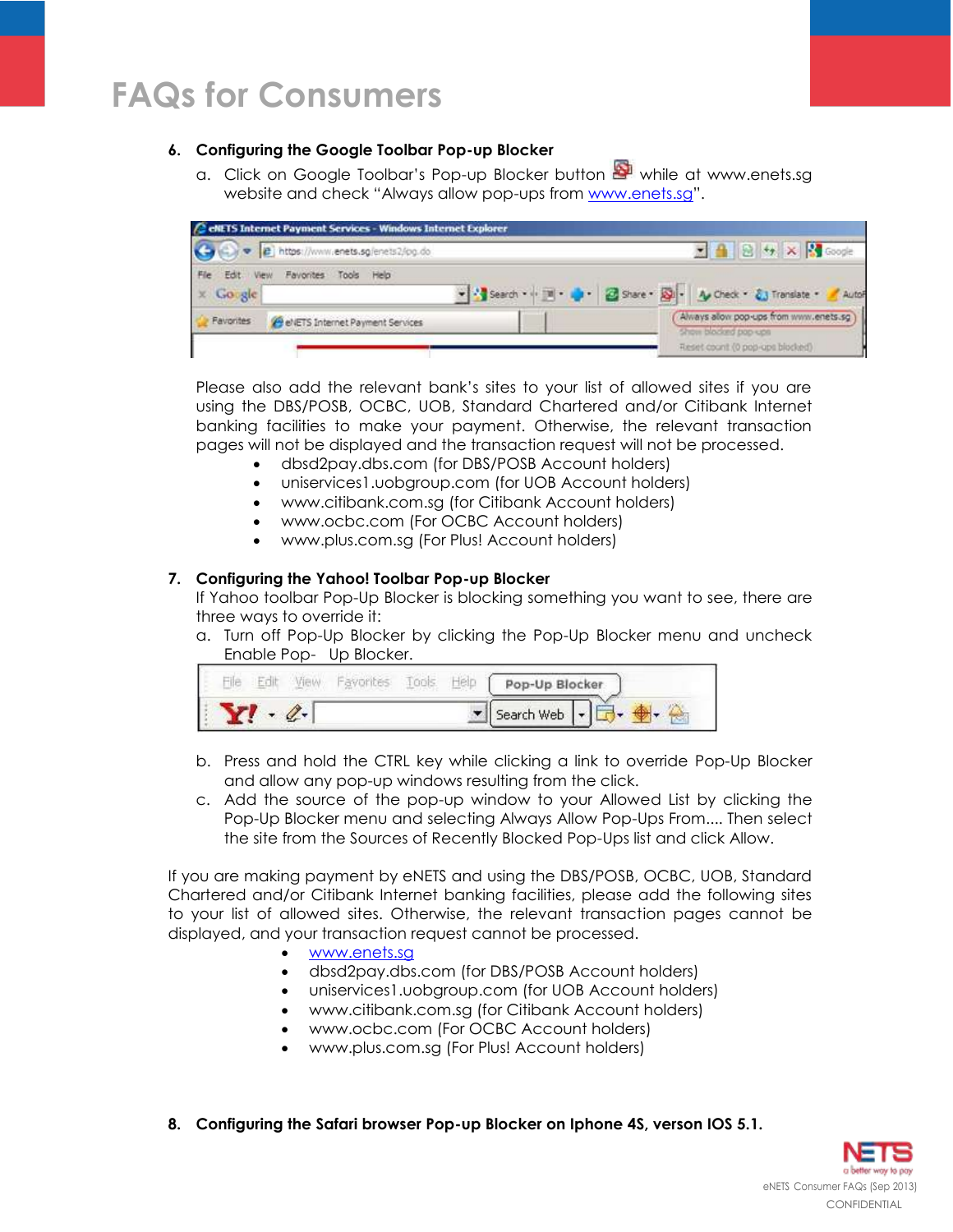# **6. Configuring the Google Toolbar Pop-up Blocker**

a. Click on Google Toolbar's Pop-up Blocker button while at www.enets.sa website and check "Always allow pop-ups from [www.enets.sg](http://www.enets.sg/)".

|                   | e e https://www.enets.sg/enets2/pg.do | ■ 4 8 + × 3 Google                      |
|-------------------|---------------------------------------|-----------------------------------------|
| File<br>Edit View | Favorites Tools Help                  |                                         |
| $\times$ Gorgle   |                                       |                                         |
|                   | evers Internet Payment Services       | Always alow pop-ups from www.enets.sg ) |

Please also add the relevant bank's sites to your list of allowed sites if you are using the DBS/POSB, OCBC, UOB, Standard Chartered and/or Citibank Internet banking facilities to make your payment. Otherwise, the relevant transaction pages will not be displayed and the transaction request will not be processed.

- dbsd2pay.dbs.com (for DBS/POSB Account holders)
- uniservices1.uobgroup.com (for UOB Account holders)
- www.citibank.com.sg (for Citibank Account holders)
- www.ocbc.com (For OCBC Account holders)
- www.plus.com.sg (For Plus! Account holders)

## **7. Configuring the Yahoo! Toolbar Pop-up Blocker**

If Yahoo toolbar Pop-Up Blocker is blocking something you want to see, there are three ways to override it:

a. Turn off Pop-Up Blocker by clicking the Pop-Up Blocker menu and uncheck Enable Pop- Up Blocker.

|  |  |  | Pop-Up Blocker |
|--|--|--|----------------|
|  |  |  | Search Web     |

- b. Press and hold the CTRL key while clicking a link to override Pop-Up Blocker and allow any pop-up windows resulting from the click.
- c. Add the source of the pop-up window to your Allowed List by clicking the Pop-Up Blocker menu and selecting Always Allow Pop-Ups From.... Then select the site from the Sources of Recently Blocked Pop-Ups list and click Allow.

If you are making payment by eNETS and using the DBS/POSB, OCBC, UOB, Standard Chartered and/or Citibank Internet banking facilities, please add the following sites to your list of allowed sites. Otherwise, the relevant transaction pages cannot be displayed, and your transaction request cannot be processed.

- [www.enets.sg](http://www.enets.sg/)
- dbsd2pay.dbs.com (for DBS/POSB Account holders)
- uniservices1.uobgroup.com (for UOB Account holders)
- www.citibank.com.sg (for Citibank Account holders)
- www.ocbc.com (For OCBC Account holders)
- www.plus.com.sg (For Plus! Account holders)
- **8. Configuring the Safari browser Pop-up Blocker on Iphone 4S, verson IOS 5.1.**

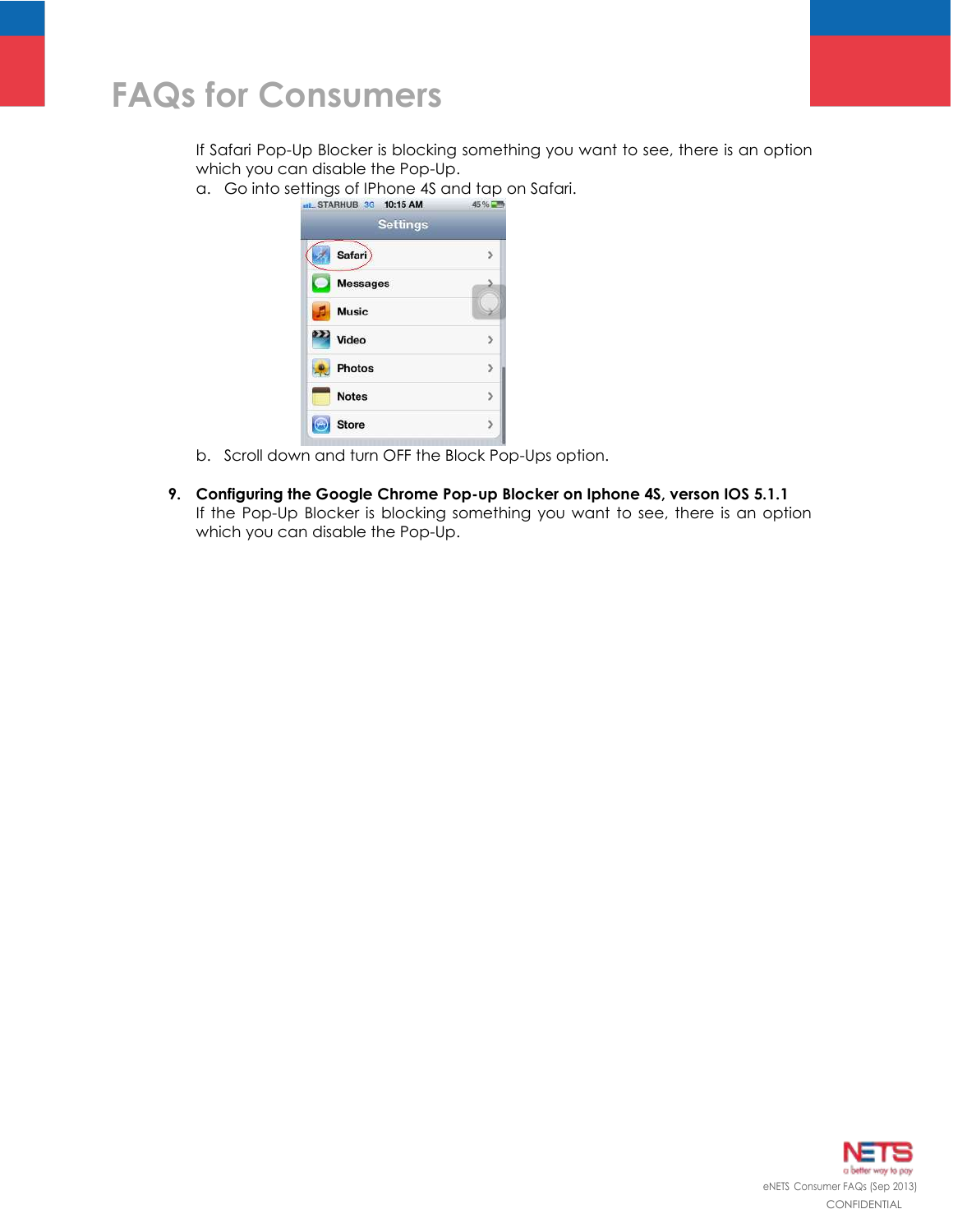If Safari Pop-Up Blocker is blocking something you want to see, there is an option which you can disable the Pop-Up.

a. Go into settings of IPhone 4S and tap on Safari.

| <b>Settings</b> |  |  |  |  |
|-----------------|--|--|--|--|
| Safari)         |  |  |  |  |
| <b>Messages</b> |  |  |  |  |
| <b>Music</b>    |  |  |  |  |
| 222 Video       |  |  |  |  |
| <b>Photos</b>   |  |  |  |  |
| <b>Notes</b>    |  |  |  |  |
| <b>Store</b>    |  |  |  |  |

- b. Scroll down and turn OFF the Block Pop-Ups option.
- **9. Configuring the Google Chrome Pop-up Blocker on Iphone 4S, verson IOS 5.1.1** If the Pop-Up Blocker is blocking something you want to see, there is an option which you can disable the Pop-Up.

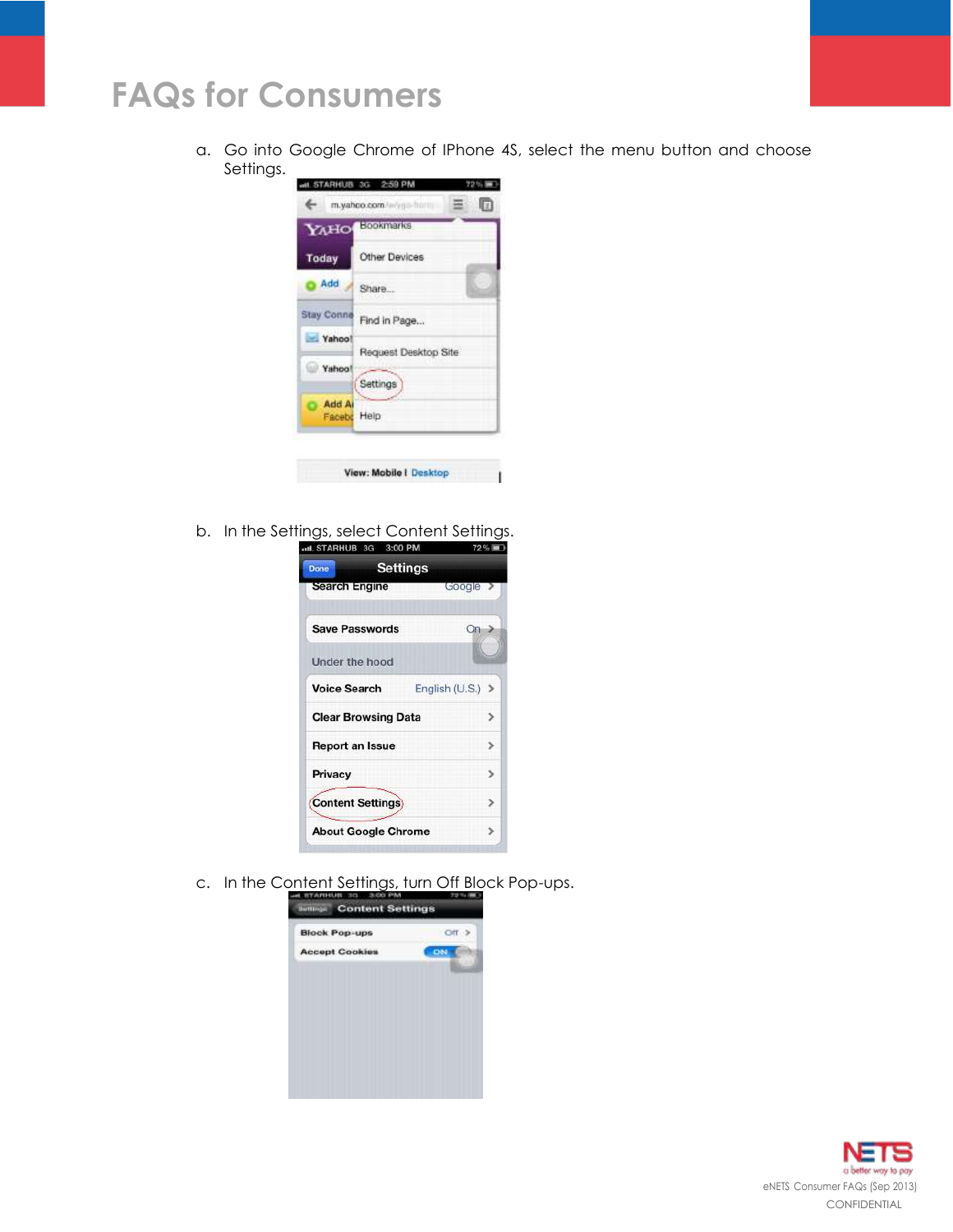a. Go into Google Chrome of IPhone 4S, select the menu button and choose Settings.



b. In the Settings, select Content Settings.<br> **EXECUTE:** THE STARHUB 3G 3:00 PM



c. In the Content Settings, turn Off Block Pop-ups.



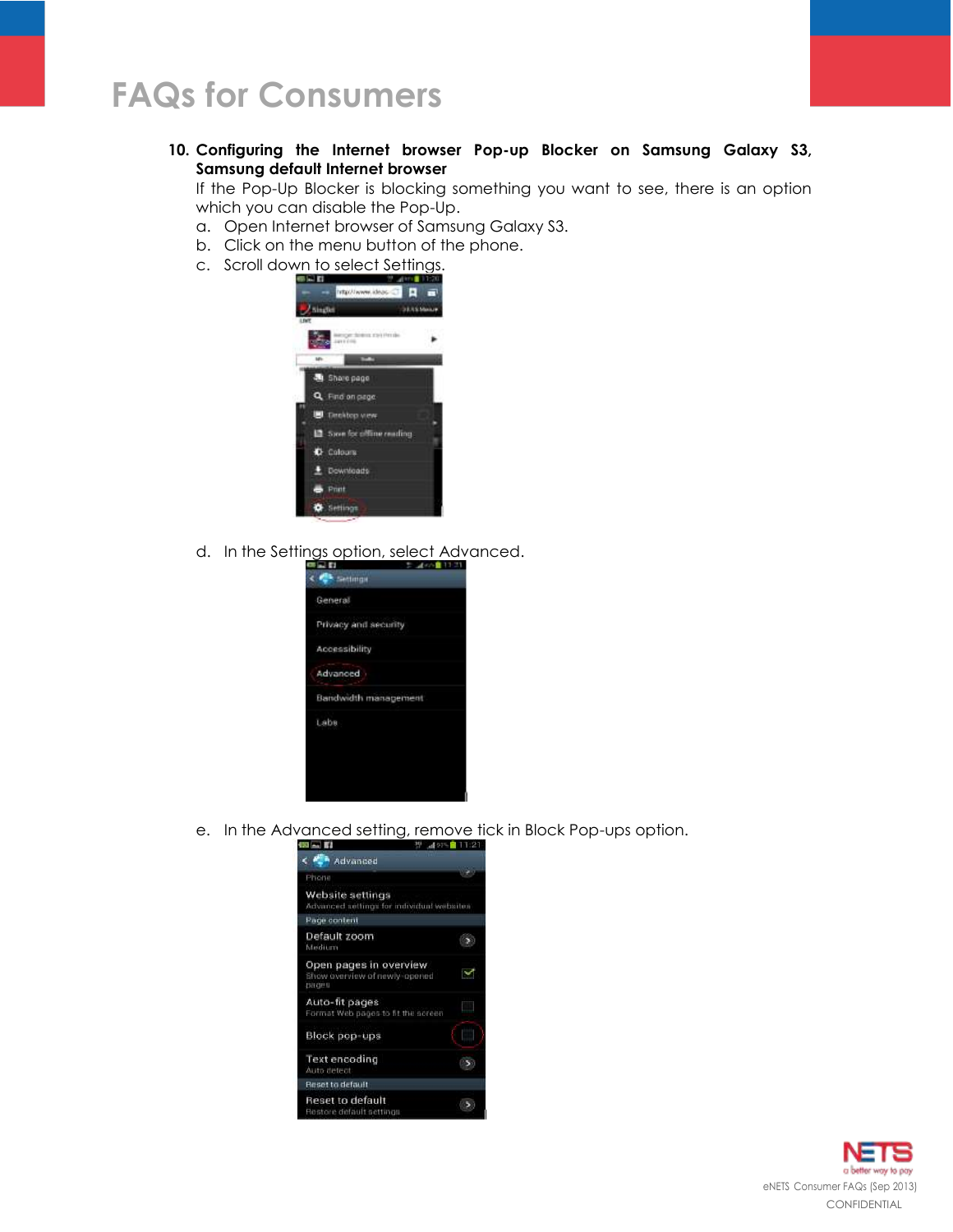**10. Configuring the Internet browser Pop-up Blocker on Samsung Galaxy S3, Samsung default Internet browser**

If the Pop-Up Blocker is blocking something you want to see, there is an option which you can disable the Pop-Up.

- a. Open Internet browser of Samsung Galaxy S3.
- b. Click on the menu button of the phone.
- c. Scroll down to select Settings.



d. In the Settings option, select Advanced.



e. In the Advanced setting, remove tick in Block Pop-ups option.



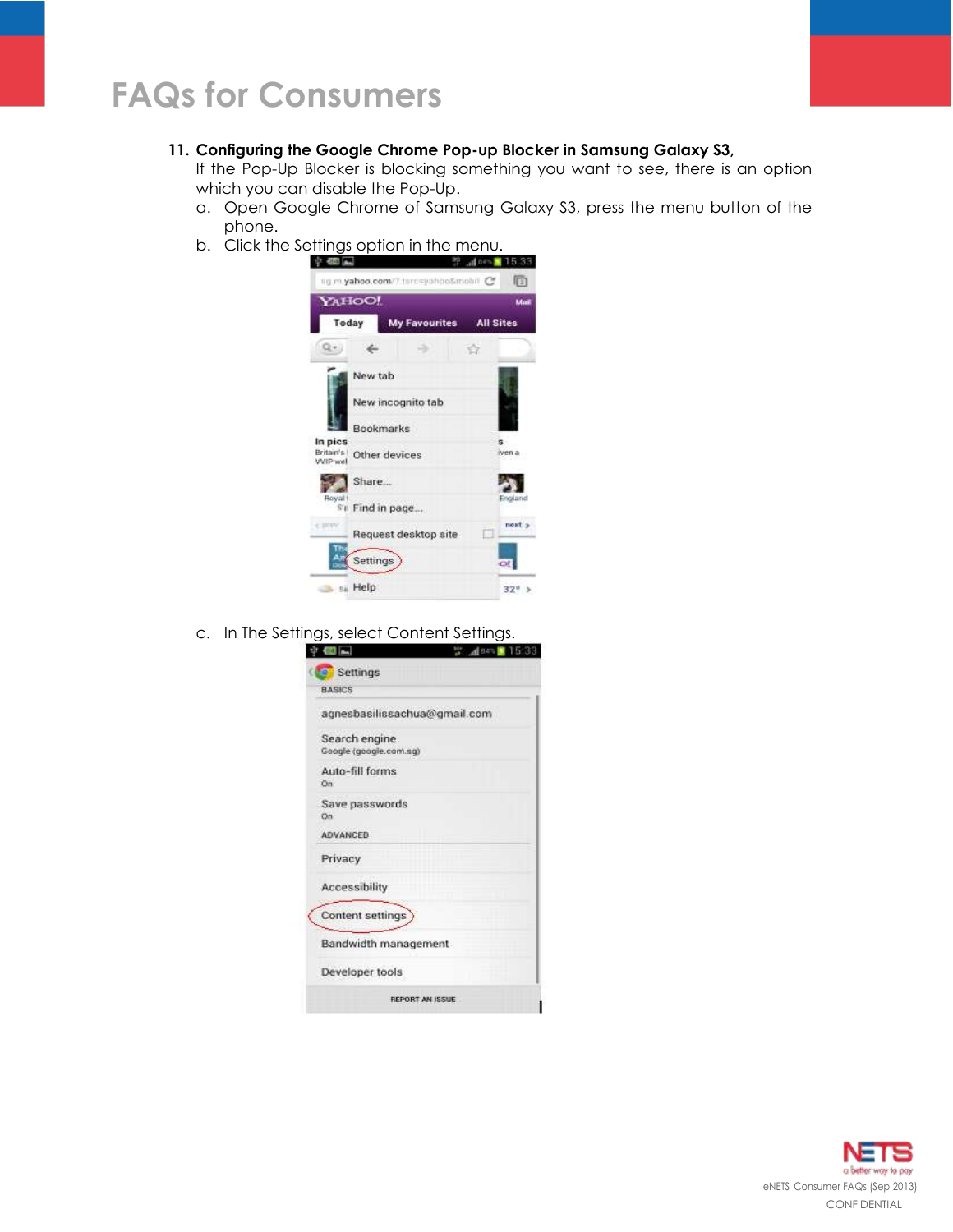### **11. Configuring the Google Chrome Pop-up Blocker in Samsung Galaxy S3,**

If the Pop-Up Blocker is blocking something you want to see, there is an option which you can disable the Pop-Up.

- a. Open Google Chrome of Samsung Galaxy S3, press the menu button of the phone.
- b. Click the Settings option in the menu.



c. In The Settings, select Content Settings.

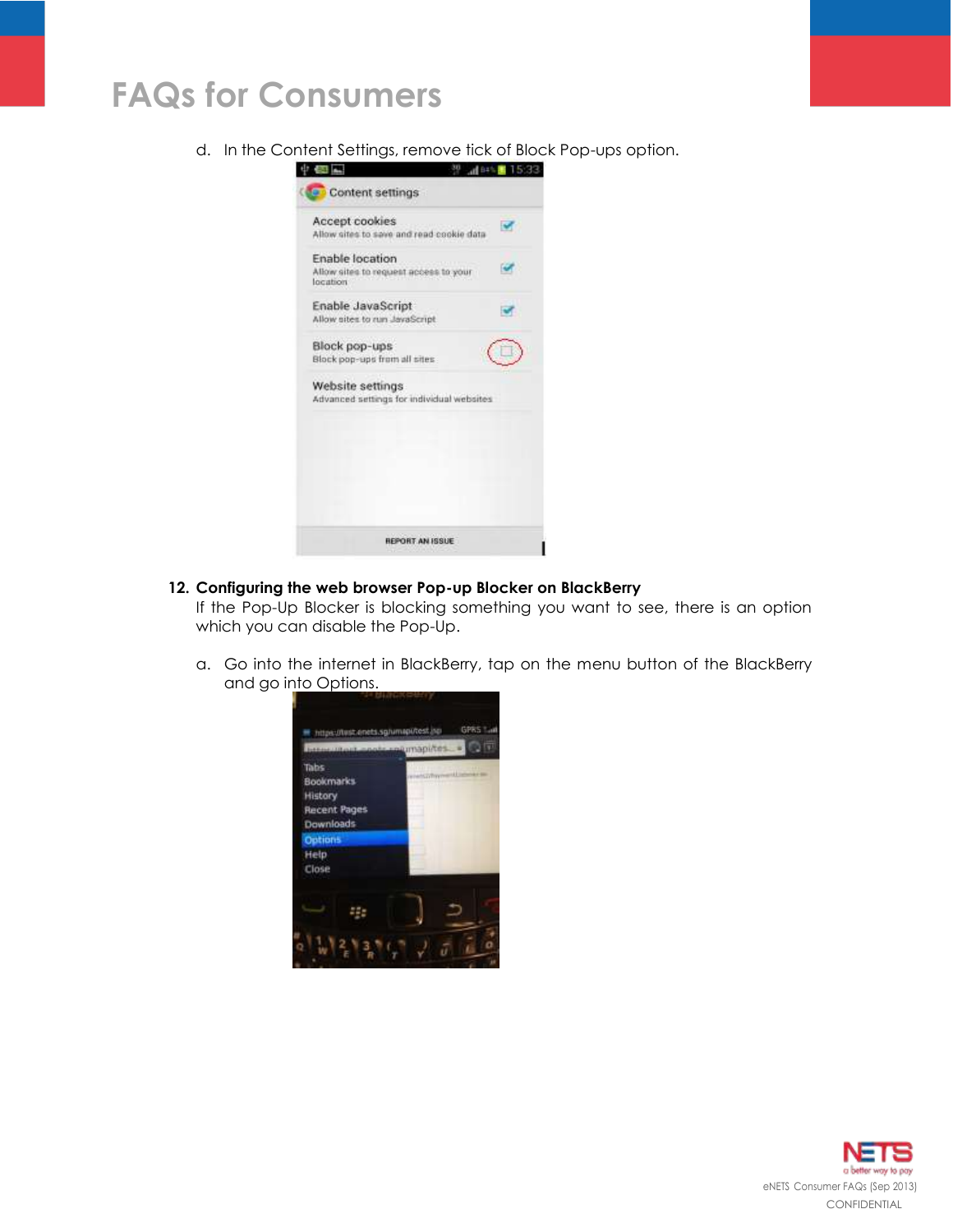d. In the Content Settings, remove tick of Block Pop-ups option.



## **12. Configuring the web browser Pop-up Blocker on BlackBerry**

If the Pop-Up Blocker is blocking something you want to see, there is an option which you can disable the Pop-Up.

a. Go into the internet in BlackBerry, tap on the menu button of the BlackBerry and go into Options.



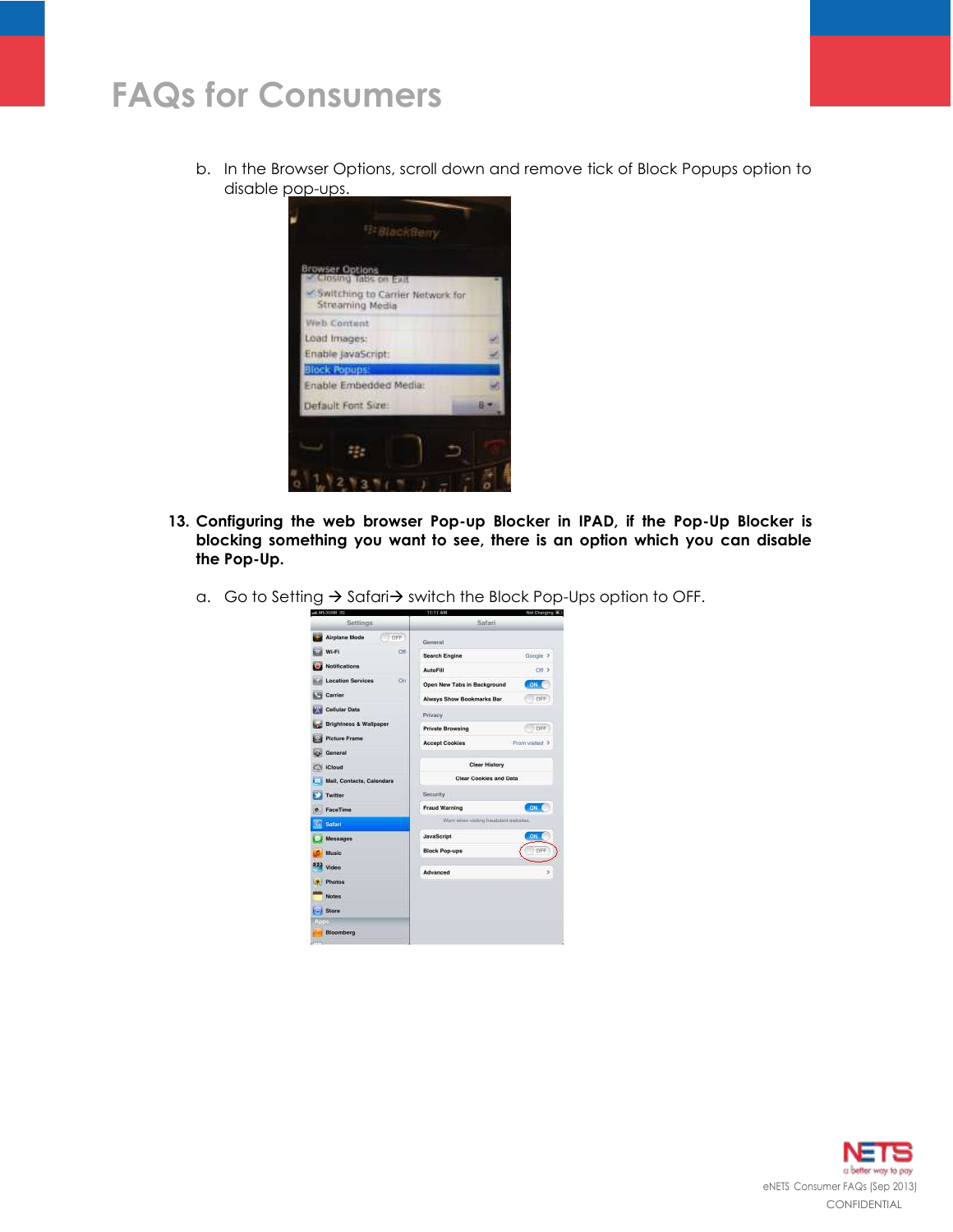b. In the Browser Options, scroll down and remove tick of Block Popups option to disable pop-ups.



- **13. Configuring the web browser Pop-up Blocker in IPAD, if the Pop-Up Blocker is blocking something you want to see, there is an option which you can disable the Pop-Up.**
	- a. Go to Setting  $\rightarrow$  Safari $\rightarrow$  switch the Block Pop-Ups option to OFF.



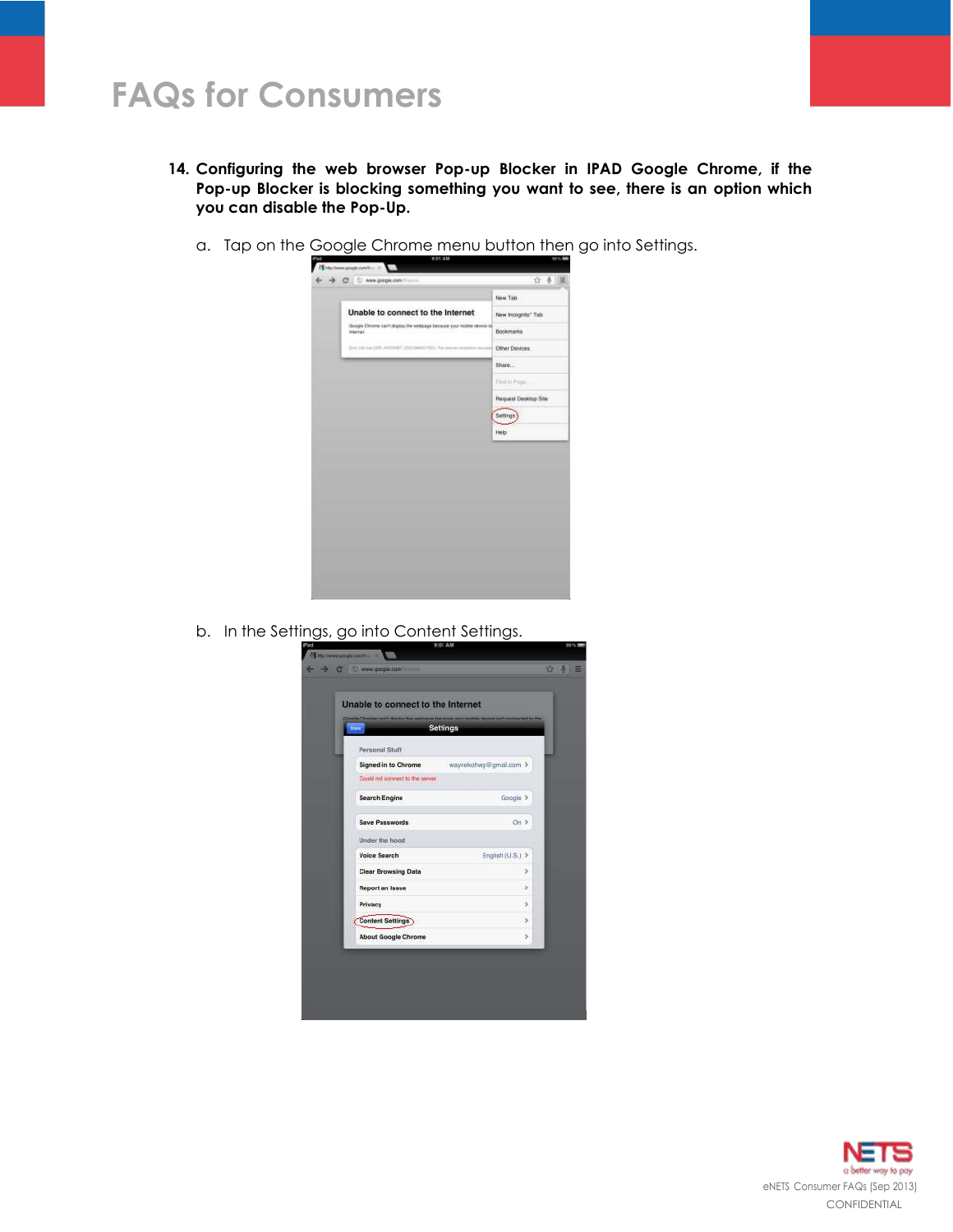- **14. Configuring the web browser Pop-up Blocker in IPAD Google Chrome, if the Pop-up Blocker is blocking something you want to see, there is an option which you can disable the Pop-Up.**
	- a. Tap on the Google Chrome menu button then go into Settings.



b. In the Settings, go into Content Settings.



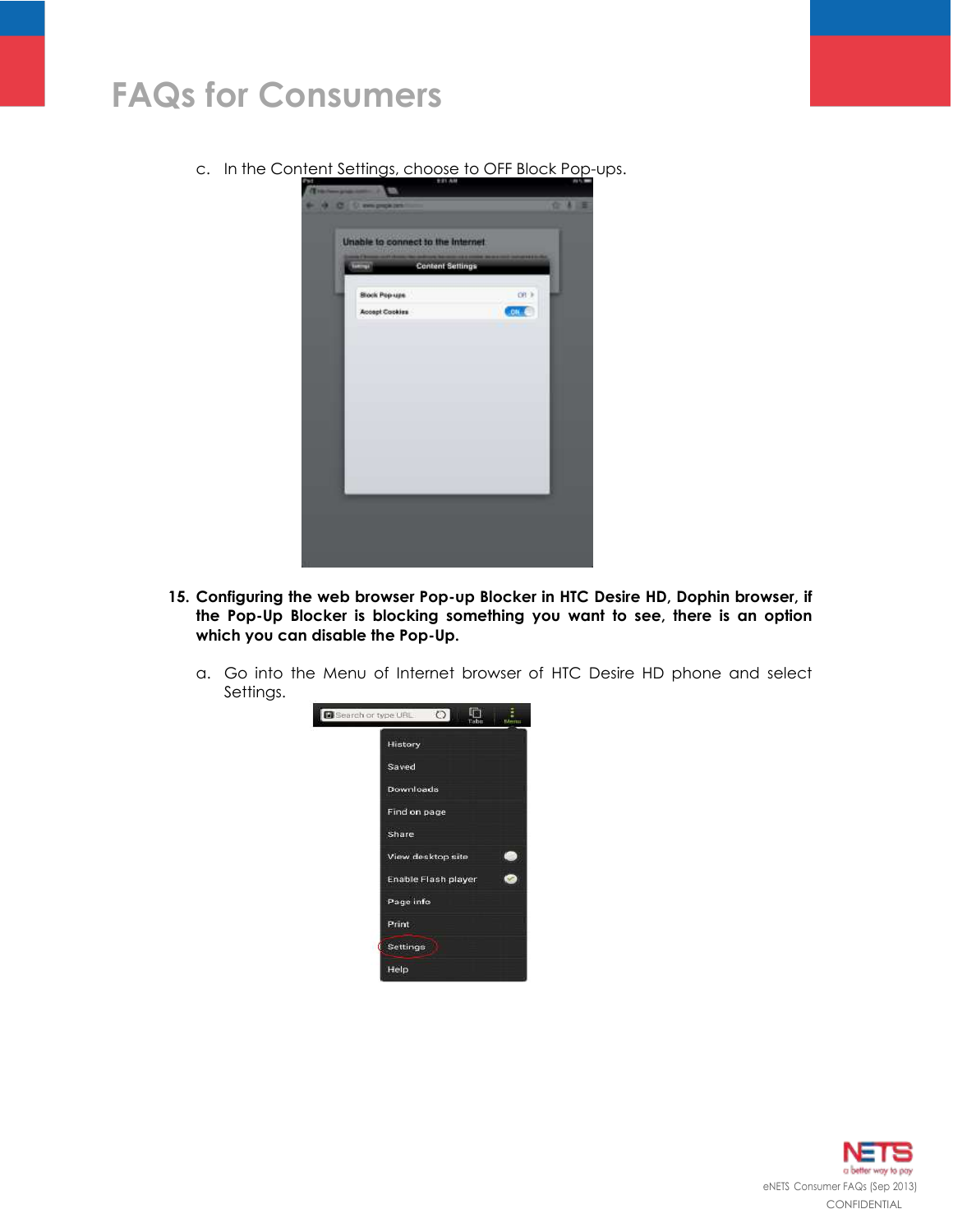c. In the Content Settings, choose to OFF Block Pop-ups.



- **15. Configuring the web browser Pop-up Blocker in HTC Desire HD, Dophin browser, if the Pop-Up Blocker is blocking something you want to see, there is an option which you can disable the Pop-Up.**
	- a. Go into the Menu of Internet browser of HTC Desire HD phone and select Settings.



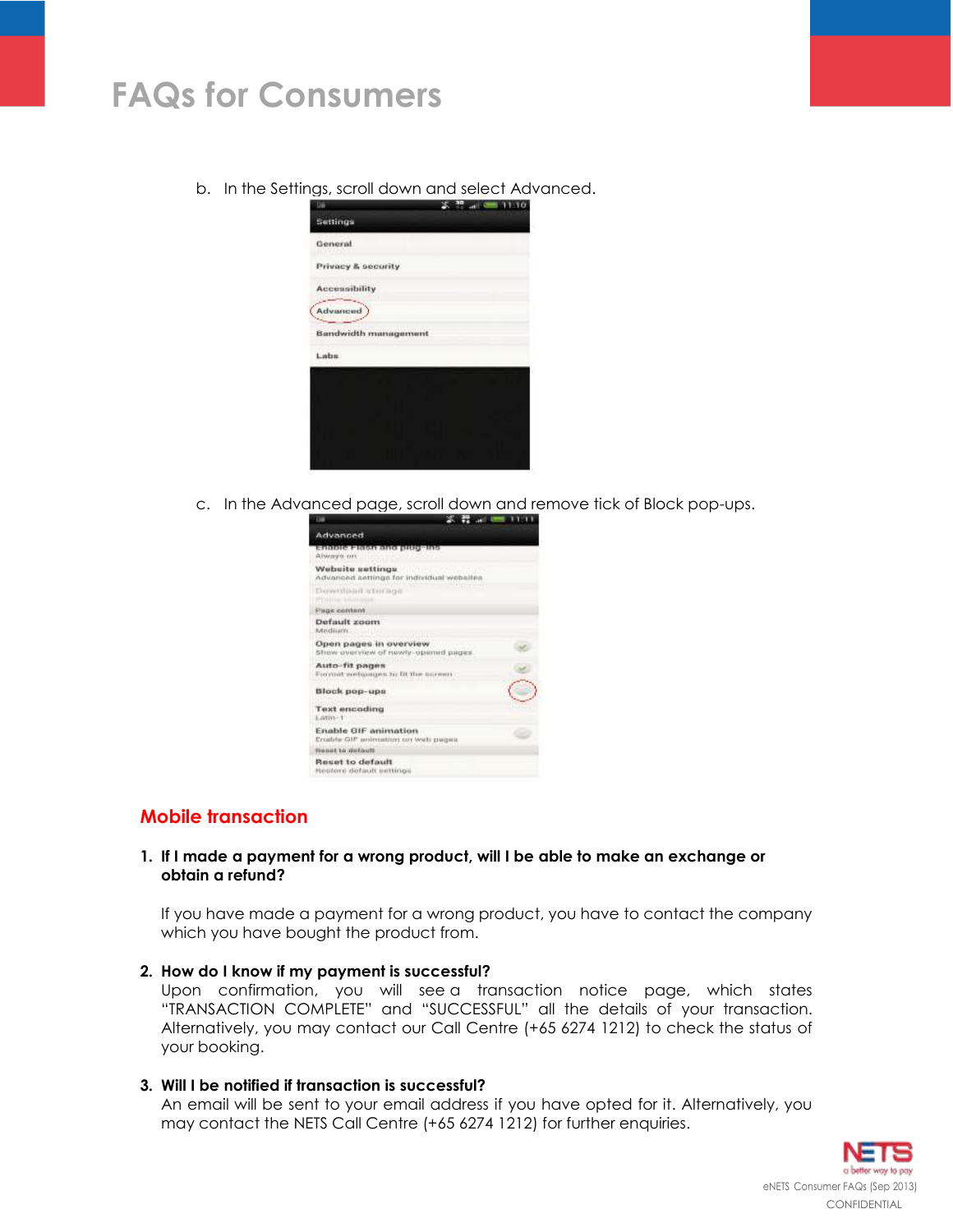b. In the Settings, scroll down and select Advanced.



c. In the Advanced page, scroll down and remove tick of Block pop-ups.



# **Mobile transaction**

#### **1. If I made a payment for a wrong product, will I be able to make an exchange or obtain a refund?**

If you have made a payment for a wrong product, you have to contact the company which you have bought the product from.

#### **2. How do I know if my payment is successful?**

Upon confirmation, you will see a transaction notice page, which states "TRANSACTION COMPLETE" and "SUCCESSFUL" all the details of your transaction. Alternatively, you may contact our Call Centre (+65 6274 1212) to check the status of your booking.

#### **3. Will I be notified if transaction is successful?**

An email will be sent to your email address if you have opted for it. Alternatively, you may contact the NETS Call Centre (+65 6274 1212) for further enquiries.